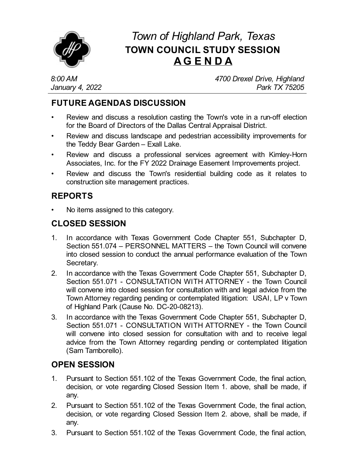

# *Town of Highland Park, Texas* **TOWN COUNCIL STUDY SESSION AG E N D A**

*8:00 AM January 4, 2022* *4700 Drexel Drive, Highland Park TX 75205*

# **FUTURE AGENDAS DISCUSSION**

- Review and discuss a [resolution](file:///C:/Windows/TEMP/CoverSheet.aspx?ItemID=4528&MeetingID=733) casting the Town's vote in a run-off election for the Board of Directors of the Dallas Central Appraisal District.
- Review and discuss landscape and pedestrian accessibility improvements for the Teddy Bear Garden – Exall Lake.
- Review and discuss a professional services agreement with [Kimley-Horn](file:///C:/Windows/TEMP/CoverSheet.aspx?ItemID=4464&MeetingID=733) Associates, Inc. for the FY 2022 Drainage Easement Improvements project.
- Review and discuss the Town's residential building code as it relates to construction site [management](file:///C:/Windows/TEMP/CoverSheet.aspx?ItemID=4492&MeetingID=733) practices.

## **REPORTS**

• No items assigned to this category.

#### **CLOSED SESSION**

- 1. In accordance with Texas Government Code Chapter 551, Subchapter D, Section 551.074 – PERSONNEL MATTERS – the Town Council will convene into closed session to conduct the annual performance evaluation of the Town Secretary.
- 2. In accordance with the Texas Government Code Chapter 551, Subchapter D, Section 551.071 - CONSULTATION WITH ATTORNEY - the Town Council will convene into closed session for consultation with and legal advice from the Town Attorney regarding pending or contemplated litigation: USAI, LP v Town of Highland Park (Cause No. DC-20-08213).
- 3. In accordance with the Texas Government Code Chapter 551, Subchapter D, Section 551.071 - CONSULTATION WITH ATTORNEY - the Town Council will convene into closed session for consultation with and to receive legal advice from the Town Attorney regarding pending or contemplated litigation (Sam Tamborello).

## **OPEN SESSION**

- 1. Pursuant to Section 551.102 of the Texas Government Code, the final action, decision, or vote regarding Closed Session Item 1. above, shall be made, if any.
- 2. Pursuant to Section 551.102 of the Texas Government Code, the final action, decision, or vote regarding Closed Session Item 2. above, shall be made, if any.
- 3. Pursuant to Section 551.102 of the Texas Government Code, the final action,